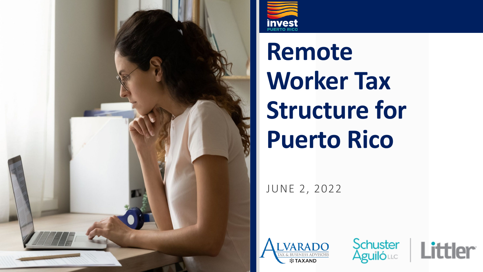



**Remote Worker Tax Structure for Puerto Rico**

JUNE 2, 2022





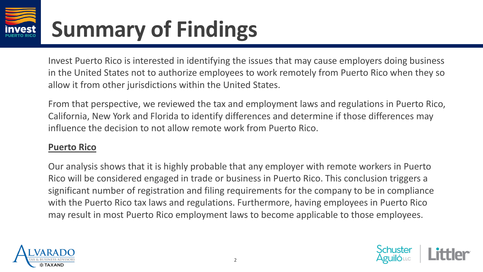Invest Puerto Rico is interested in identifying the issues that may cause employers doing business in the United States not to authorize employees to work remotely from Puerto Rico when they so allow it from other jurisdictions within the United States.

From that perspective, we reviewed the tax and employment laws and regulations in Puerto Rico, California, New York and Florida to identify differences and determine if those differences may influence the decision to not allow remote work from Puerto Rico.

#### **Puerto Rico**

Our analysis shows that it is highly probable that any employer with remote workers in Puerto Rico will be considered engaged in trade or business in Puerto Rico. This conclusion triggers a significant number of registration and filing requirements for the company to be in compliance with the Puerto Rico tax laws and regulations. Furthermore, having employees in Puerto Rico may result in most Puerto Rico employment laws to become applicable to those employees.



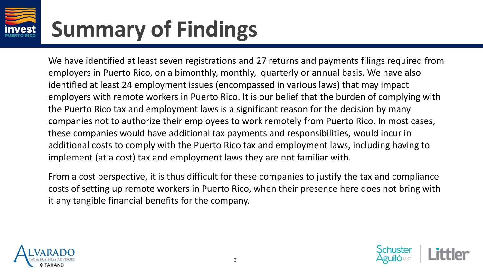We have identified at least seven registrations and 27 returns and payments filings required from employers in Puerto Rico, on a bimonthly, monthly, quarterly or annual basis. We have also identified at least 24 employment issues (encompassed in various laws) that may impact employers with remote workers in Puerto Rico. It is our belief that the burden of complying with the Puerto Rico tax and employment laws is a significant reason for the decision by many companies not to authorize their employees to work remotely from Puerto Rico. In most cases, these companies would have additional tax payments and responsibilities, would incur in additional costs to comply with the Puerto Rico tax and employment laws, including having to implement (at a cost) tax and employment laws they are not familiar with.

From a cost perspective, it is thus difficult for these companies to justify the tax and compliance costs of setting up remote workers in Puerto Rico, when their presence here does not bring with it any tangible financial benefits for the company.



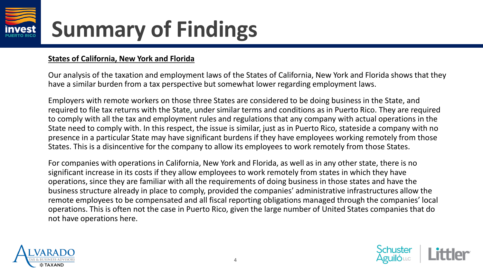

#### **States of California, New York and Florida**

Our analysis of the taxation and employment laws of the States of California, New York and Florida shows that they have a similar burden from a tax perspective but somewhat lower regarding employment laws.

Employers with remote workers on those three States are considered to be doing business in the State, and required to file tax returns with the State, under similar terms and conditions as in Puerto Rico. They are required to comply with all the tax and employment rules and regulations that any company with actual operations in the State need to comply with. In this respect, the issue is similar, just as in Puerto Rico, stateside a company with no presence in a particular State may have significant burdens if they have employees working remotely from those States. This is a disincentive for the company to allow its employees to work remotely from those States.

For companies with operations in California, New York and Florida, as well as in any other state, there is no significant increase in its costs if they allow employees to work remotely from states in which they have operations, since they are familiar with all the requirements of doing business in those states and have the business structure already in place to comply, provided the companies' administrative infrastructures allow the remote employees to be compensated and all fiscal reporting obligations managed through the companies' local operations. This is often not the case in Puerto Rico, given the large number of United States companies that do not have operations here.



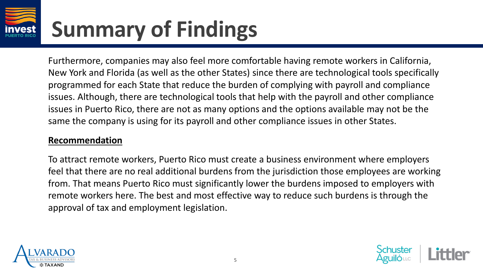Furthermore, companies may also feel more comfortable having remote workers in California, New York and Florida (as well as the other States) since there are technological tools specifically programmed for each State that reduce the burden of complying with payroll and compliance issues. Although, there are technological tools that help with the payroll and other compliance issues in Puerto Rico, there are not as many options and the options available may not be the same the company is using for its payroll and other compliance issues in other States.

#### **Recommendation**

To attract remote workers, Puerto Rico must create a business environment where employers feel that there are no real additional burdens from the jurisdiction those employees are working from. That means Puerto Rico must significantly lower the burdens imposed to employers with remote workers here. The best and most effective way to reduce such burdens is through the approval of tax and employment legislation.



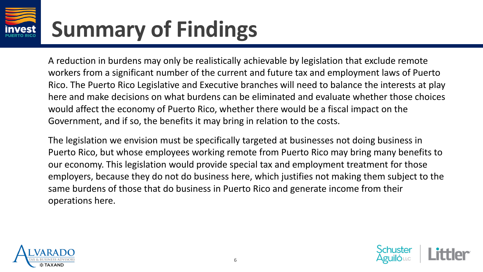A reduction in burdens may only be realistically achievable by legislation that exclude remote workers from a significant number of the current and future tax and employment laws of Puerto Rico. The Puerto Rico Legislative and Executive branches will need to balance the interests at play here and make decisions on what burdens can be eliminated and evaluate whether those choices would affect the economy of Puerto Rico, whether there would be a fiscal impact on the Government, and if so, the benefits it may bring in relation to the costs.

The legislation we envision must be specifically targeted at businesses not doing business in Puerto Rico, but whose employees working remote from Puerto Rico may bring many benefits to our economy. This legislation would provide special tax and employment treatment for those employers, because they do not do business here, which justifies not making them subject to the same burdens of those that do business in Puerto Rico and generate income from their operations here.



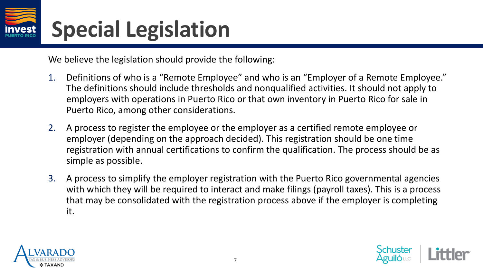#### **Special Legislation**

We believe the legislation should provide the following:

- 1. Definitions of who is a "Remote Employee" and who is an "Employer of a Remote Employee." The definitions should include thresholds and nonqualified activities. It should not apply to employers with operations in Puerto Rico or that own inventory in Puerto Rico for sale in Puerto Rico, among other considerations.
- 2. A process to register the employee or the employer as a certified remote employee or employer (depending on the approach decided). This registration should be one time registration with annual certifications to confirm the qualification. The process should be as simple as possible.
- 3. A process to simplify the employer registration with the Puerto Rico governmental agencies with which they will be required to interact and make filings (payroll taxes). This is a process that may be consolidated with the registration process above if the employer is completing it.



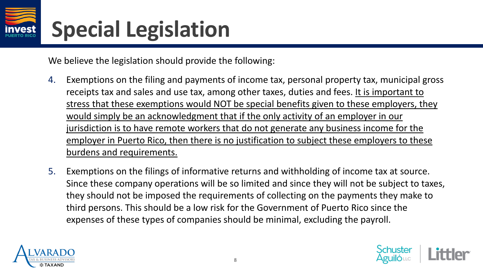### **Special Legislation**

We believe the legislation should provide the following:

- 4. Exemptions on the filing and payments of income tax, personal property tax, municipal gross receipts tax and sales and use tax, among other taxes, duties and fees. It is important to stress that these exemptions would NOT be special benefits given to these employers, they would simply be an acknowledgment that if the only activity of an employer in our jurisdiction is to have remote workers that do not generate any business income for the employer in Puerto Rico, then there is no justification to subject these employers to these burdens and requirements.
- 5. Exemptions on the filings of informative returns and withholding of income tax at source. Since these company operations will be so limited and since they will not be subject to taxes, they should not be imposed the requirements of collecting on the payments they make to third persons. This should be a low risk for the Government of Puerto Rico since the expenses of these types of companies should be minimal, excluding the payroll.



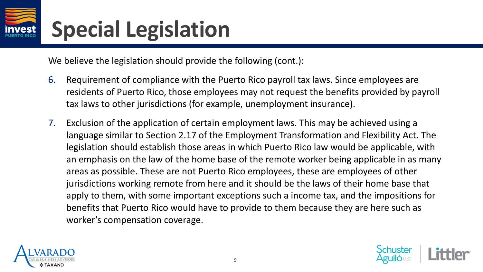#### **Special Legislation**

We believe the legislation should provide the following (cont.):

- 6. Requirement of compliance with the Puerto Rico payroll tax laws. Since employees are residents of Puerto Rico, those employees may not request the benefits provided by payroll tax laws to other jurisdictions (for example, unemployment insurance).
- 7. Exclusion of the application of certain employment laws. This may be achieved using a language similar to Section 2.17 of the Employment Transformation and Flexibility Act. The legislation should establish those areas in which Puerto Rico law would be applicable, with an emphasis on the law of the home base of the remote worker being applicable in as many areas as possible. These are not Puerto Rico employees, these are employees of other jurisdictions working remote from here and it should be the laws of their home base that apply to them, with some important exceptions such a income tax, and the impositions for benefits that Puerto Rico would have to provide to them because they are here such as worker's compensation coverage.



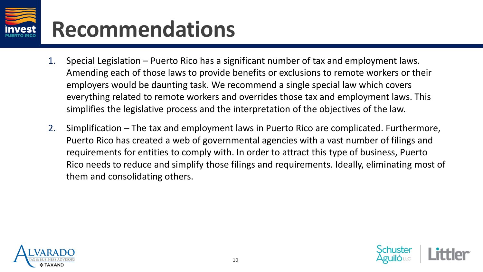# **Recommendations**

- 1. Special Legislation Puerto Rico has a significant number of tax and employment laws. Amending each of those laws to provide benefits or exclusions to remote workers or their employers would be daunting task. We recommend a single special law which covers everything related to remote workers and overrides those tax and employment laws. This simplifies the legislative process and the interpretation of the objectives of the law.
- 2. Simplification The tax and employment laws in Puerto Rico are complicated. Furthermore, Puerto Rico has created a web of governmental agencies with a vast number of filings and requirements for entities to comply with. In order to attract this type of business, Puerto Rico needs to reduce and simplify those filings and requirements. Ideally, eliminating most of them and consolidating others.



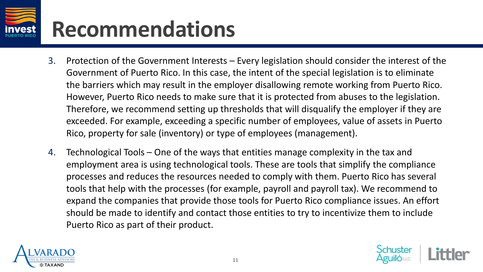# **Recommendations**

- 3. Protection of the Government Interests Every legislation should consider the interest of the Government of Puerto Rico. In this case, the intent of the special legislation is to eliminate the barriers which may result in the employer disallowing remote working from Puerto Rico. However, Puerto Rico needs to make sure that it is protected from abuses to the legislation. Therefore, we recommend setting up thresholds that will disqualify the employer if they are exceeded. For example, exceeding a specific number of employees, value of assets in Puerto Rico, property for sale (inventory) or type of employees (management).
- 4. Technological Tools One of the ways that entities manage complexity in the tax and employment area is using technological tools. These are tools that simplify the compliance processes and reduces the resources needed to comply with them. Puerto Rico has several tools that help with the processes (for example, payroll and payroll tax). We recommend to expand the companies that provide those tools for Puerto Rico compliance issues. An effort should be made to identify and contact those entities to try to incentivize them to include Puerto Rico as part of their product.



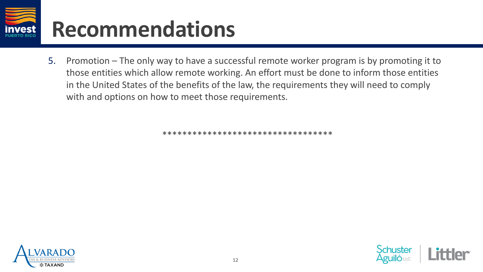

5. Promotion – The only way to have a successful remote worker program is by promoting it to those entities which allow remote working. An effort must be done to inform those entities in the United States of the benefits of the law, the requirements they will need to comply with and options on how to meet those requirements.

\*\*\*\*\*\*\*\*\*\*\*\*\*\*\*\*\*\*\*\*\*\*\*\*\*\*\*\*\*\*\*\*\*\*



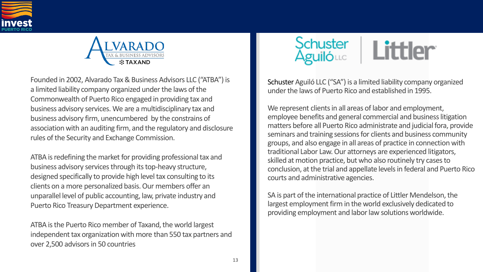



Founded in 2002, Alvarado Tax & Business Advisors LLC ("ATBA") is a limited liability company organized under the laws of the Commonwealth of Puerto Rico engaged in providing tax and business advisory services. We are a multidisciplinary tax and business advisory firm, unencumbered by the constrains of association with an auditing firm, and the regulatory and disclosure rules of the Security and Exchange Commission.

ATBA is redefining the market for providing professional tax and business advisory services through its top-heavy structure, designed specifically to provide high level tax consulting to its clients on a more personalized basis. Our members offer an unparallel level of public accounting, law, private industry and Puerto Rico Treasury Department experience.

ATBA is the Puerto Rico member of Taxand, the world largest independent tax organization with more than 550 tax partners and over 2,500 advisors in 50 countries



Schuster Aguiló LLC ("SA") is a limited liability company organized under the laws of Puerto Rico and established in 1995.

We represent clients in all areas of labor and employment, employee benefits and general commercial and business litigation matters before all Puerto Rico administrate and judicial fora, provide seminars and training sessions for clients and business community groups, and also engage in all areas of practice in connection with traditional Labor Law. Our attorneys are experienced litigators, skilled at motion practice, but who also routinely try cases to conclusion, at the trial and appellate levels in federal and Puerto Rico courts and administrative agencies.

SA is part of the international practice of Littler Mendelson, the largest employment firm in the world exclusively dedicated to providing employment and labor law solutions worldwide.